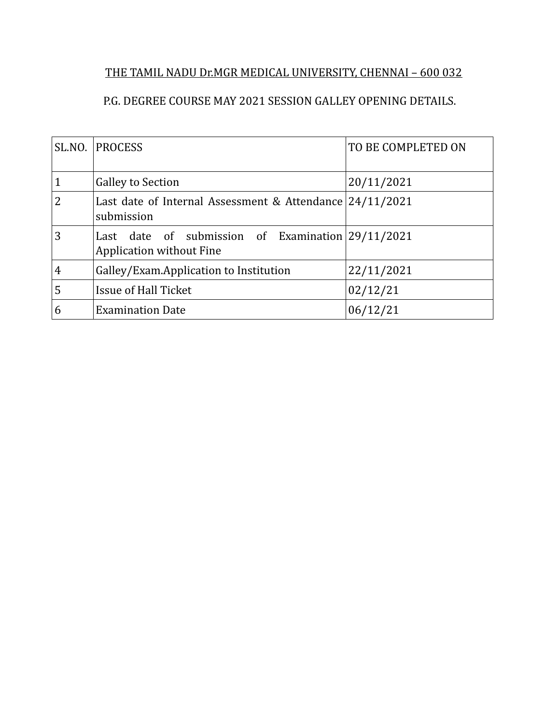## THE TAMIL NADU Dr.MGR MEDICAL UNIVERSITY, CHENNAI – 600 032

## P.G. DEGREE COURSE MAY 2021 SESSION GALLEY OPENING DETAILS.

| SLNO.          | <b>PROCESS</b>                                                                         | TO BE COMPLETED ON |  |
|----------------|----------------------------------------------------------------------------------------|--------------------|--|
| 1              | <b>Galley to Section</b>                                                               | 20/11/2021         |  |
| $\overline{2}$ | Last date of Internal Assessment & Attendance 24/11/2021<br>submission                 |                    |  |
| 3              | Last date of submission of Examination $29/11/2021$<br><b>Application without Fine</b> |                    |  |
| $\overline{4}$ | Galley/Exam.Application to Institution                                                 | 22/11/2021         |  |
| 5              | Issue of Hall Ticket                                                                   | 02/12/21           |  |
| 6              | <b>Examination Date</b>                                                                | 06/12/21           |  |